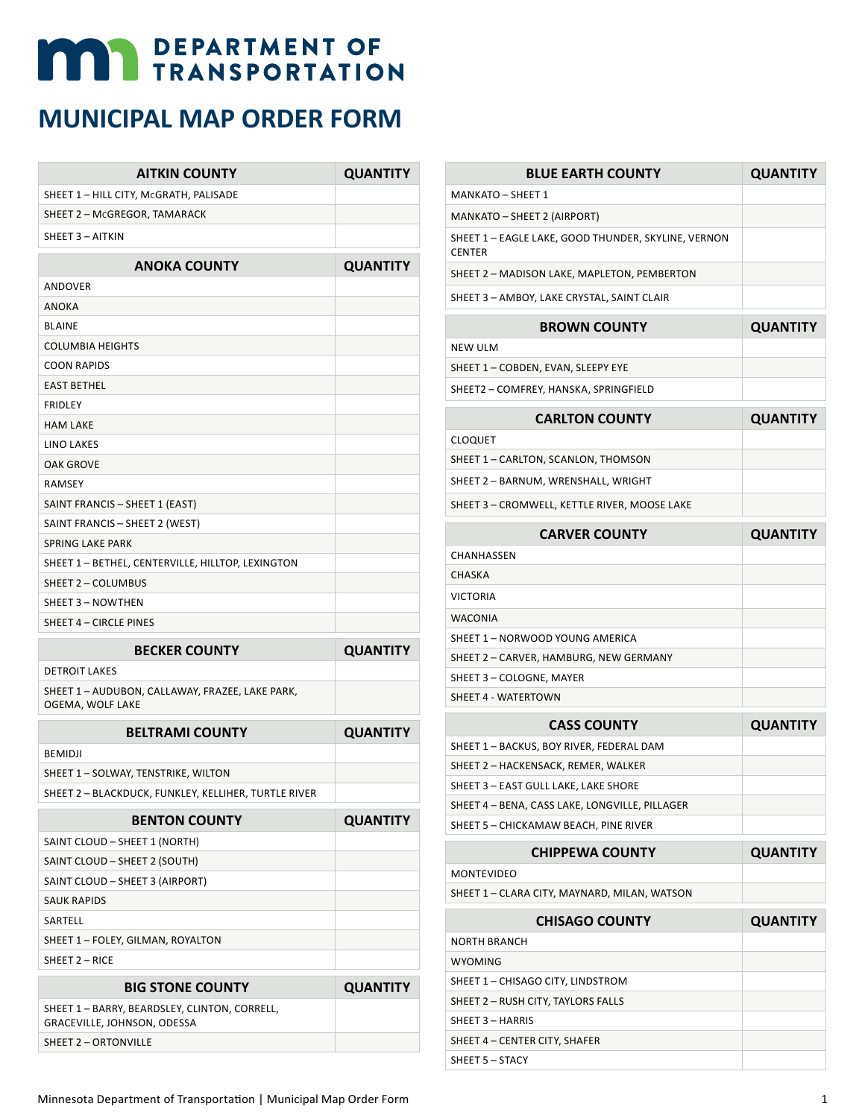## **MAY DEPARTMENT OF TRANSPORTATION**

## **MUNICIPAL MAP ORDER FORM**

| <b>AITKIN COUNTY</b>                                                         | <b>QUANTITY</b> |
|------------------------------------------------------------------------------|-----------------|
| SHEET 1 - HILL CITY, McGRATH, PALISADE                                       |                 |
| SHEET 2 - McGREGOR, TAMARACK                                                 |                 |
| SHEET 3 - AITKIN                                                             |                 |
| <b>ANOKA COUNTY</b>                                                          | <b>QUANTITY</b> |
| ANDOVER                                                                      |                 |
| ANOKA                                                                        |                 |
| <b>BLAINE</b>                                                                |                 |
| <b>COLUMBIA HEIGHTS</b>                                                      |                 |
| <b>COON RAPIDS</b>                                                           |                 |
| <b>EAST BETHEL</b>                                                           |                 |
| <b>FRIDLEY</b>                                                               |                 |
| <b>HAM LAKE</b>                                                              |                 |
| <b>LINO LAKES</b>                                                            |                 |
| OAK GROVE                                                                    |                 |
| <b>RAMSEY</b>                                                                |                 |
| SAINT FRANCIS - SHEET 1 (EAST)                                               |                 |
| SAINT FRANCIS - SHEET 2 (WEST)                                               |                 |
| <b>SPRING LAKE PARK</b>                                                      |                 |
| SHEET 1 - BETHEL, CENTERVILLE, HILLTOP, LEXINGTON                            |                 |
| SHEET 2 - COLUMBUS                                                           |                 |
| SHEET 3 - NOWTHEN                                                            |                 |
|                                                                              |                 |
| SHEET 4 - CIRCLE PINES                                                       |                 |
| <b>BECKER COUNTY</b>                                                         | <b>QUANTITY</b> |
| <b>DETROIT LAKES</b>                                                         |                 |
| SHEET 1 - AUDUBON, CALLAWAY, FRAZEE, LAKE PARK,<br>OGEMA, WOLF LAKE          |                 |
| <b>BELTRAMI COUNTY</b>                                                       | <b>QUANTITY</b> |
| <b>BEMIDJI</b>                                                               |                 |
| SHEET 1 - SOLWAY, TENSTRIKE, WILTON                                          |                 |
| SHEET 2 – BLACKDUCK, FUNKLEY, KELLIHER, TURTLE RIVER                         |                 |
| <b>BENTON COUNTY</b>                                                         | <b>QUANTITY</b> |
| SAINT CLOUD - SHEET 1 (NORTH)                                                |                 |
| SAINT CLOUD - SHEET 2 (SOUTH)                                                |                 |
| SAINT CLOUD - SHEET 3 (AIRPORT)                                              |                 |
| <b>SAUK RAPIDS</b>                                                           |                 |
| SARTELL                                                                      |                 |
| SHEET 1 - FOLEY, GILMAN, ROYALTON                                            |                 |
| SHEET 2 - RICE                                                               |                 |
| <b>BIG STONE COUNTY</b>                                                      | <b>QUANTITY</b> |
| SHEET 1 - BARRY, BEARDSLEY, CLINTON, CORRELL,<br>GRACEVILLE, JOHNSON, ODESSA |                 |

| <b>BLUE EARTH COUNTY</b>                                             | <b>QUANTITY</b> |
|----------------------------------------------------------------------|-----------------|
| MANKATO - SHEET 1                                                    |                 |
| MANKATO - SHEET 2 (AIRPORT)                                          |                 |
| SHEET 1 – EAGLE LAKE, GOOD THUNDER, SKYLINE, VERNON<br><b>CENTER</b> |                 |
| SHEET 2 - MADISON LAKE, MAPLETON, PEMBERTON                          |                 |
| SHEET 3 - AMBOY, LAKE CRYSTAL, SAINT CLAIR                           |                 |
| <b>BROWN COUNTY</b>                                                  | <b>QUANTITY</b> |
| <b>NEW ULM</b>                                                       |                 |
| SHEET 1 - COBDEN, EVAN, SLEEPY EYE                                   |                 |
| SHEET2 – COMFREY, HANSKA, SPRINGFIELD                                |                 |
| <b>CARLTON COUNTY</b>                                                | <b>QUANTITY</b> |
| <b>CLOQUET</b>                                                       |                 |
| SHEET 1 – CARLTON, SCANLON, THOMSON                                  |                 |
| SHEET 2 – BARNUM, WRENSHALL, WRIGHT                                  |                 |
| SHEET 3 – CROMWELL, KETTLE RIVER, MOOSE LAKE                         |                 |
|                                                                      |                 |

| <b>CARVER COUNTY</b>                   | <b>QUANTITY</b> |
|----------------------------------------|-----------------|
| CHANHASSEN                             |                 |
| <b>CHASKA</b>                          |                 |
| <b>VICTORIA</b>                        |                 |
| <b>WACONIA</b>                         |                 |
| SHEET 1 - NORWOOD YOUNG AMERICA        |                 |
| SHEET 2 - CARVER, HAMBURG, NEW GERMANY |                 |
| SHEET 3 - COLOGNE, MAYER               |                 |
| SHEET 4 - WATERTOWN                    |                 |

| <b>CASS COUNTY</b>                             | <b>QUANTITY</b> |
|------------------------------------------------|-----------------|
| SHEET 1 - BACKUS, BOY RIVER, FEDERAL DAM       |                 |
| SHEET 2 - HACKENSACK, REMER, WALKER            |                 |
| SHEET 3 - EAST GULL LAKE, LAKE SHORE           |                 |
| SHEET 4 - BENA, CASS LAKE, LONGVILLE, PILLAGER |                 |
| SHEET 5 - CHICKAMAW BEACH, PINE RIVER          |                 |
|                                                |                 |

| <b>CHIPPEWA COUNTY</b>                       | <b>QUANTITY</b> |
|----------------------------------------------|-----------------|
| MONTEVIDEO                                   |                 |
| SHEET 1 – CLARA CITY, MAYNARD, MILAN, WATSON |                 |

| <b>CHISAGO COUNTY</b>              | <b>QUANTITY</b> |
|------------------------------------|-----------------|
| <b>NORTH BRANCH</b>                |                 |
| <b>WYOMING</b>                     |                 |
| SHEET 1 - CHISAGO CITY, LINDSTROM  |                 |
| SHEET 2 - RUSH CITY, TAYLORS FALLS |                 |
| SHEET 3 - HARRIS                   |                 |
| SHEET 4 - CENTER CITY, SHAFER      |                 |
| SHEET 5 - STACY                    |                 |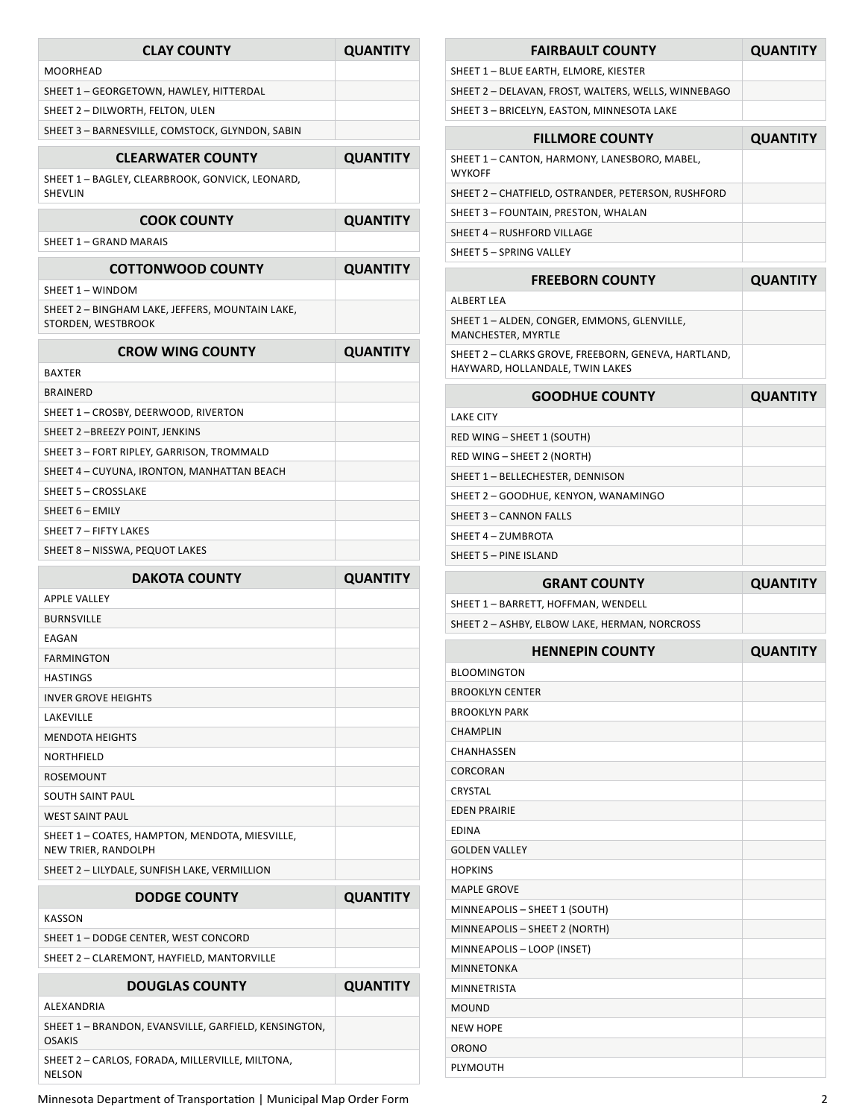| <b>CLAY COUNTY</b>                                                    | <b>QUANTITY</b> |
|-----------------------------------------------------------------------|-----------------|
| <b>MOORHEAD</b>                                                       |                 |
| SHEET 1 - GEORGETOWN, HAWLEY, HITTERDAL                               |                 |
| SHEET 2 - DILWORTH, FELTON, ULEN                                      |                 |
| SHEET 3 - BARNESVILLE, COMSTOCK, GLYNDON, SABIN                       |                 |
| <b>CLEARWATER COUNTY</b>                                              | <b>QUANTITY</b> |
| SHEET 1 – BAGLEY, CLEARBROOK, GONVICK, LEONARD,<br>SHEVLIN            |                 |
| <b>COOK COUNTY</b>                                                    | <b>QUANTITY</b> |
| SHEET 1 - GRAND MARAIS                                                |                 |
| <b>COTTONWOOD COUNTY</b>                                              | <b>QUANTITY</b> |
| SHEET 1 - WINDOM                                                      |                 |
| SHEET 2 - BINGHAM LAKE, JEFFERS, MOUNTAIN LAKE,<br>STORDEN, WESTBROOK |                 |
| <b>CROW WING COUNTY</b>                                               | <b>QUANTITY</b> |
| <b>BAXTER</b>                                                         |                 |
| <b>BRAINERD</b>                                                       |                 |
| SHEET 1 - CROSBY, DEERWOOD, RIVERTON                                  |                 |
| SHEET 2-BREEZY POINT, JENKINS                                         |                 |
| SHEET 3 - FORT RIPLEY, GARRISON, TROMMALD                             |                 |
| SHEET 4 - CUYUNA, IRONTON, MANHATTAN BEACH                            |                 |
| <b>SHEET 5 - CROSSLAKE</b>                                            |                 |
| SHEET 6 - EMILY                                                       |                 |
| SHEET 7 - FIFTY LAKES                                                 |                 |
| SHEET 8 - NISSWA, PEQUOT LAKES                                        |                 |
| <b>DAKOTA COUNTY</b>                                                  | <b>QUANTITY</b> |
| <b>APPLE VALLEY</b>                                                   |                 |
| <b>BURNSVILLE</b>                                                     |                 |
| EAGAN                                                                 |                 |
| FARMINGTON                                                            |                 |
| <b>HASTINGS</b>                                                       |                 |
| <b>INVER GROVE HEIGHTS</b>                                            |                 |
| LAKEVILLE                                                             |                 |
| <b>MENDOTA HEIGHTS</b>                                                |                 |
| NORTHFIELD                                                            |                 |
| ROSEMOUNT                                                             |                 |
| <b>SOUTH SAINT PAUL</b>                                               |                 |
| <b>WEST SAINT PAUL</b>                                                |                 |
| SHEET 1 - COATES, HAMPTON, MENDOTA, MIESVILLE,<br>NEW TRIER, RANDOLPH |                 |
| SHEET 2 - LILYDALE, SUNFISH LAKE, VERMILLION                          |                 |

| <b>DODGE COUNTY</b>                                                   | <b>QUANTITY</b> |
|-----------------------------------------------------------------------|-----------------|
| KASSON                                                                |                 |
| SHEET 1 - DODGE CENTER. WEST CONCORD                                  |                 |
| SHEET 2 - CLAREMONT, HAYFIELD, MANTORVILLE                            |                 |
| <b>DOUGLAS COUNTY</b>                                                 | <b>QUANTITY</b> |
|                                                                       |                 |
| ALEXANDRIA                                                            |                 |
| SHEET 1 - BRANDON, EVANSVILLE, GARFIELD, KENSINGTON,<br><b>OSAKIS</b> |                 |

Minnesota Department of Transportation | Municipal Map Order Form 2

| <b>FAIRBAULT COUNTY</b>                                       | <b>QUANTITY</b> |
|---------------------------------------------------------------|-----------------|
| SHEET 1 - BLUE EARTH, ELMORE, KIESTER                         |                 |
| SHEET 2 - DELAVAN, FROST, WALTERS, WELLS, WINNEBAGO           |                 |
| SHEET 3 - BRICELYN, EASTON, MINNESOTA LAKE                    |                 |
| <b>FILLMORE COUNTY</b>                                        | <b>QUANTITY</b> |
| SHEET 1 - CANTON, HARMONY, LANESBORO, MABEL,<br><b>WYKOFF</b> |                 |
| SHEET 2 - CHATFIELD, OSTRANDER, PETERSON, RUSHFORD            |                 |
| SHEET 3 - FOUNTAIN, PRESTON, WHALAN                           |                 |
| SHEET 4 - RUSHFORD VILLAGE                                    |                 |
| SHEET 5 - SPRING VALLEY                                       |                 |
| <b>FREEBORN COUNTY</b>                                        | <b>QUANTITY</b> |

| .                                                                                      | -------- |
|----------------------------------------------------------------------------------------|----------|
| ALBERT LEA                                                                             |          |
| SHEET 1 - ALDEN, CONGER, EMMONS, GLENVILLE,<br>MANCHESTER, MYRTLE                      |          |
| SHEET 2 - CLARKS GROVE, FREEBORN, GENEVA, HARTLAND,<br>HAYWARD, HOLLANDALE, TWIN LAKES |          |

| <b>QUANTITY</b> |
|-----------------|
|                 |
|                 |
|                 |
|                 |
|                 |
|                 |
|                 |
|                 |
|                 |

| <b>GRANT COUNTY</b>                           | <b>QUANTITY</b> |
|-----------------------------------------------|-----------------|
| SHEET 1 – BARRETT. HOFFMAN. WENDELL           |                 |
| SHEET 2 – ASHBY, ELBOW LAKE, HERMAN, NORCROSS |                 |
|                                               |                 |

| <b>HENNEPIN COUNTY</b>        | <b>QUANTITY</b> |
|-------------------------------|-----------------|
| <b>BLOOMINGTON</b>            |                 |
| <b>BROOKLYN CENTER</b>        |                 |
| <b>BROOKLYN PARK</b>          |                 |
| <b>CHAMPLIN</b>               |                 |
| CHANHASSEN                    |                 |
| CORCORAN                      |                 |
| CRYSTAL                       |                 |
| <b>EDEN PRAIRIE</b>           |                 |
| <b>EDINA</b>                  |                 |
| <b>GOLDEN VALLEY</b>          |                 |
| <b>HOPKINS</b>                |                 |
| <b>MAPLE GROVE</b>            |                 |
| MINNEAPOLIS - SHEET 1 (SOUTH) |                 |
| MINNEAPOLIS - SHEET 2 (NORTH) |                 |
| MINNEAPOLIS - LOOP (INSET)    |                 |
| <b>MINNETONKA</b>             |                 |
| <b>MINNETRISTA</b>            |                 |
| <b>MOUND</b>                  |                 |
| <b>NEW HOPE</b>               |                 |
| ORONO                         |                 |
| PLYMOUTH                      |                 |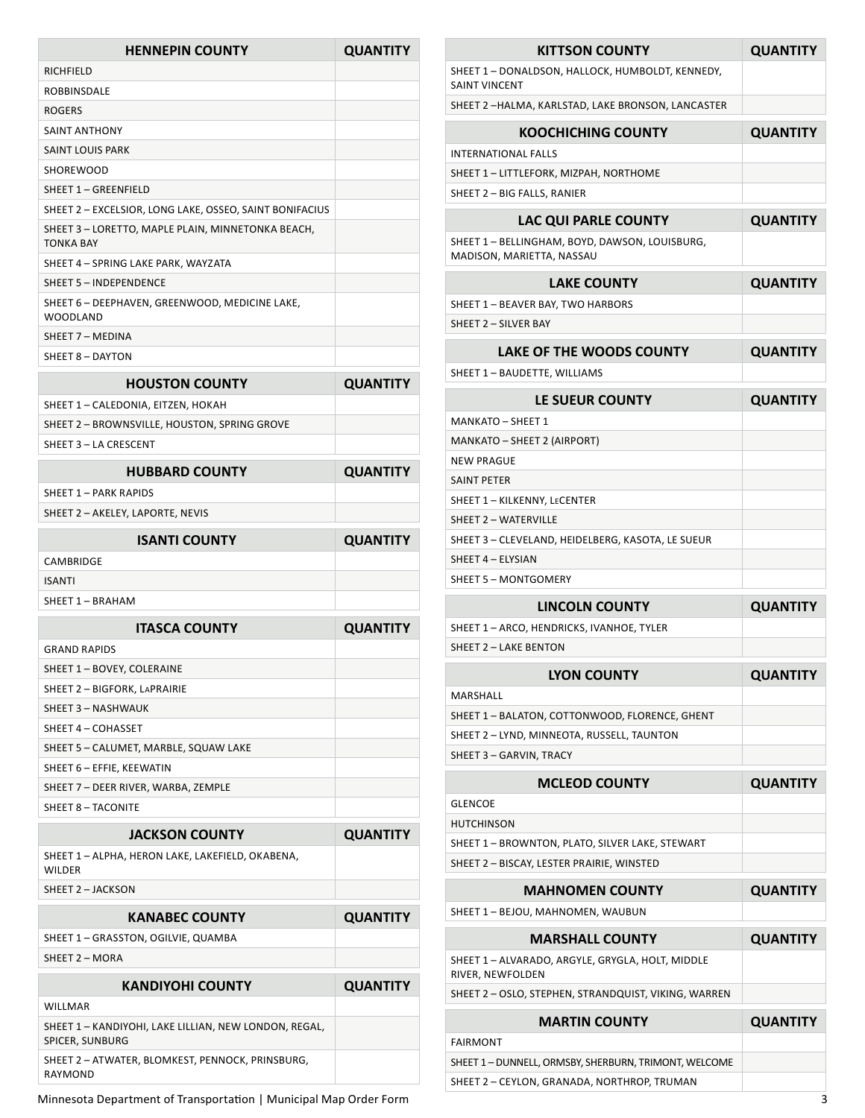| <b>HENNEPIN COUNTY</b>                                                             | <b>QUANTITY</b> |
|------------------------------------------------------------------------------------|-----------------|
| RICHFIELD                                                                          |                 |
| ROBBINSDALE                                                                        |                 |
| <b>ROGERS</b>                                                                      |                 |
| SAINT ANTHONY                                                                      |                 |
| SAINT LOUIS PARK                                                                   |                 |
| SHOREWOOD                                                                          |                 |
| SHEET 1 - GREENFIELD                                                               |                 |
| SHEET 2 - EXCELSIOR, LONG LAKE, OSSEO, SAINT BONIFACIUS                            |                 |
| SHEET 3 - LORETTO, MAPLE PLAIN, MINNETONKA BEACH,<br><b>TONKA BAY</b>              |                 |
| SHEET 4 - SPRING LAKE PARK, WAYZATA                                                |                 |
| SHEET 5 - INDEPENDENCE                                                             |                 |
| SHEET 6 - DEEPHAVEN, GREENWOOD, MEDICINE LAKE,<br>WOODLAND                         |                 |
| SHEET 7 - MEDINA                                                                   |                 |
| SHEET 8 - DAYTON                                                                   |                 |
| <b>HOUSTON COUNTY</b>                                                              | <b>QUANTITY</b> |
|                                                                                    |                 |
| SHEET 1 - CALEDONIA, EITZEN, HOKAH<br>SHEET 2 - BROWNSVILLE, HOUSTON, SPRING GROVE |                 |
| SHEET 3 - LA CRESCENT                                                              |                 |
|                                                                                    |                 |
| <b>HUBBARD COUNTY</b>                                                              | <b>QUANTITY</b> |
| SHEET 1 - PARK RAPIDS                                                              |                 |
| SHEET 2 - AKELEY, LAPORTE, NEVIS                                                   |                 |
| <b>ISANTI COUNTY</b>                                                               | <b>QUANTITY</b> |
| CAMBRIDGE                                                                          |                 |
| <b>ISANTI</b>                                                                      |                 |
| SHEET 1 - BRAHAM                                                                   |                 |
| <b>ITASCA COUNTY</b>                                                               | <b>QUANTITY</b> |
| <b>GRAND RAPIDS</b>                                                                |                 |
| SHEET 1 - BOVEY, COLERAINE                                                         |                 |
| SHEET 2 - BIGFORK, LAPRAIRIE                                                       |                 |
| SHEET 3 - NASHWAUK                                                                 |                 |
| SHEET 4 - COHASSET                                                                 |                 |
| SHEET 5 - CALUMET, MARBLE, SQUAW LAKE                                              |                 |
| SHEET 6 - EFFIE, KEEWATIN                                                          |                 |
| SHEET 7 - DEER RIVER, WARBA, ZEMPLE                                                |                 |
| SHEET 8 - TACONITE                                                                 |                 |
| <b>JACKSON COUNTY</b>                                                              | <b>QUANTITY</b> |
| SHEET 1 – ALPHA, HERON LAKE, LAKEFIELD, OKABENA,<br>WILDER                         |                 |
| SHEET 2 - JACKSON                                                                  |                 |
| <b>KANABEC COUNTY</b>                                                              | <b>QUANTITY</b> |
| SHEET 1 - GRASSTON, OGILVIE, QUAMBA                                                |                 |
| SHEET 2 - MORA                                                                     |                 |
| <b>KANDIYOHI COUNTY</b>                                                            | <b>QUANTITY</b> |
| WILLMAR                                                                            |                 |
| SHEET 1 – KANDIYOHI, LAKE LILLIAN, NEW LONDON, REGAL,<br>SPICER, SUNBURG           |                 |
| SHEET 2 – ATWATER, BLOMKEST, PENNOCK, PRINSBURG,<br>RAYMOND                        |                 |

Minnesota Department of Transportation | Municipal Map Order Form 3

| <b>KITTSON COUNTY</b>                                                       | <b>QUANTITY</b> |
|-----------------------------------------------------------------------------|-----------------|
| SHEET 1 - DONALDSON, HALLOCK, HUMBOLDT, KENNEDY,<br><b>SAINT VINCENT</b>    |                 |
| SHEET 2-HALMA, KARLSTAD, LAKE BRONSON, LANCASTER                            |                 |
| <b>KOOCHICHING COUNTY</b>                                                   | <b>QUANTITY</b> |
| INTERNATIONAL FALLS                                                         |                 |
| SHEET 1 - LITTLEFORK, MIZPAH, NORTHOME                                      |                 |
| SHEET 2 - BIG FALLS, RANIER                                                 |                 |
| <b>LAC QUI PARLE COUNTY</b>                                                 | <b>QUANTITY</b> |
| SHEET 1 - BELLINGHAM, BOYD, DAWSON, LOUISBURG,<br>MADISON, MARIETTA, NASSAU |                 |
| <b>LAKE COUNTY</b>                                                          | <b>QUANTITY</b> |
| SHEET 1 - BEAVER BAY, TWO HARBORS                                           |                 |
| SHEET 2 - SILVER BAY                                                        |                 |
| LAKE OF THE WOODS COUNTY                                                    | <b>QUANTITY</b> |
| SHEET 1 - BAUDETTE, WILLIAMS                                                |                 |
| <b>LE SUEUR COUNTY</b>                                                      | <b>QUANTITY</b> |
| <b>MANKATO - SHEET 1</b>                                                    |                 |
| MANKATO - SHEET 2 (AIRPORT)                                                 |                 |
| <b>NEW PRAGUE</b>                                                           |                 |
| <b>SAINT PETER</b>                                                          |                 |
| SHEET 1 - KILKENNY, LECENTER                                                |                 |
| SHEET 2 - WATERVILLE                                                        |                 |
| SHEET 3 – CLEVELAND, HEIDELBERG, KASOTA, LE SUEUR                           |                 |
| SHEET 4 - ELYSIAN                                                           |                 |
| <b>SHEET 5 - MONTGOMERY</b>                                                 |                 |
| <b>LINCOLN COUNTY</b>                                                       | <b>QUANTITY</b> |
| SHEET 1 – ARCO, HENDRICKS, IVANHOE, TYLER                                   |                 |
| <b>SHEET 2 - LAKE BENTON</b>                                                |                 |
| <b>LYON COUNTY</b>                                                          | <b>QUANTITY</b> |
| MARSHALL                                                                    |                 |
| SHEET 1 - BALATON, COTTONWOOD, FLORENCE, GHENT                              |                 |
| SHEET 2 - LYND, MINNEOTA, RUSSELL, TAUNTON                                  |                 |
| SHEET 3 - GARVIN, TRACY                                                     |                 |
| <b>MCLEOD COUNTY</b>                                                        | <b>QUANTITY</b> |
| <b>GLENCOE</b>                                                              |                 |
| <b>HUTCHINSON</b>                                                           |                 |
| SHEET 1 - BROWNTON, PLATO, SILVER LAKE, STEWART                             |                 |
| SHEET 2 – BISCAY, LESTER PRAIRIE, WINSTED                                   |                 |
| <b>MAHNOMEN COUNTY</b>                                                      | <b>QUANTITY</b> |
| SHEET 1 - BEJOU, MAHNOMEN, WAUBUN                                           |                 |
| <b>MARSHALL COUNTY</b>                                                      | <b>QUANTITY</b> |
| SHEET 1 – ALVARADO, ARGYLE, GRYGLA, HOLT, MIDDLE                            |                 |
| RIVER, NEWFOLDEN                                                            |                 |
| SHEET 2 - OSLO, STEPHEN, STRANDQUIST, VIKING, WARREN                        |                 |
|                                                                             |                 |
| <b>MARTIN COUNTY</b>                                                        | <b>QUANTITY</b> |
| <b>FAIRMONT</b>                                                             |                 |
| SHEET 1 - DUNNELL, ORMSBY, SHERBURN, TRIMONT, WELCOME                       |                 |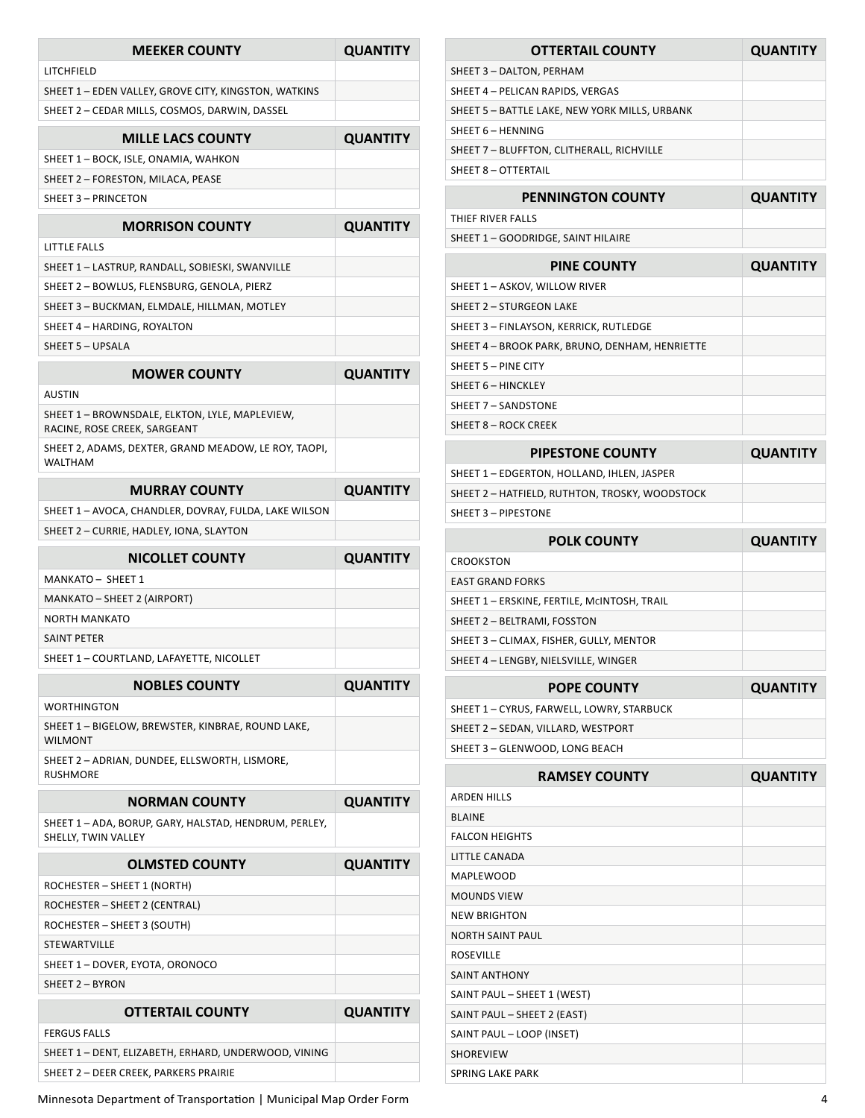| <b>MEEKER COUNTY</b>                                                               | <b>QUANTITY</b> |
|------------------------------------------------------------------------------------|-----------------|
| LITCHFIELD                                                                         |                 |
| SHEET 1 - EDEN VALLEY, GROVE CITY, KINGSTON, WATKINS                               |                 |
| SHEET 2 - CEDAR MILLS, COSMOS, DARWIN, DASSEL                                      |                 |
| <b>MILLE LACS COUNTY</b>                                                           | <b>QUANTITY</b> |
| SHEET 1 - BOCK, ISLE, ONAMIA, WAHKON                                               |                 |
| SHEET 2 - FORESTON, MILACA, PEASE                                                  |                 |
| SHEET 3 - PRINCETON                                                                |                 |
| <b>MORRISON COUNTY</b>                                                             | <b>QUANTITY</b> |
| LITTLE FALLS                                                                       |                 |
| SHEET 1 - LASTRUP, RANDALL, SOBIESKI, SWANVILLE                                    |                 |
| SHEET 2 - BOWLUS, FLENSBURG, GENOLA, PIERZ                                         |                 |
| SHEET 3 - BUCKMAN, ELMDALE, HILLMAN, MOTLEY                                        |                 |
| SHEET 4 - HARDING, ROYALTON                                                        |                 |
| SHEET 5 - UPSALA                                                                   |                 |
| <b>MOWER COUNTY</b>                                                                | <b>QUANTITY</b> |
| <b>AUSTIN</b>                                                                      |                 |
| SHEET 1 - BROWNSDALE, ELKTON, LYLE, MAPLEVIEW,<br>RACINE, ROSE CREEK, SARGEANT     |                 |
| SHEET 2, ADAMS, DEXTER, GRAND MEADOW, LE ROY, TAOPI,<br><b>WALTHAM</b>             |                 |
| <b>MURRAY COUNTY</b>                                                               | <b>QUANTITY</b> |
| SHEET 1 - AVOCA, CHANDLER, DOVRAY, FULDA, LAKE WILSON                              |                 |
| SHEET 2 - CURRIE, HADLEY, IONA, SLAYTON                                            |                 |
| <b>NICOLLET COUNTY</b>                                                             | <b>QUANTITY</b> |
| MANKATO - SHEET 1                                                                  |                 |
| MANKATO – SHEET 2 (AIRPORT)                                                        |                 |
|                                                                                    |                 |
| <b>NORTH MANKATO</b>                                                               |                 |
| <b>SAINT PETER</b>                                                                 |                 |
| SHEET 1 – COURTLAND, LAFAYETTE, NICOLLET                                           |                 |
| <b>NOBLES COUNTY</b>                                                               | <b>QUANTITY</b> |
| <b>WORTHINGTON</b>                                                                 |                 |
| SHEET 1 - BIGELOW, BREWSTER, KINBRAE, ROUND LAKE,                                  |                 |
| <b>WILMONT</b><br>SHEET 2 - ADRIAN, DUNDEE, ELLSWORTH, LISMORE,<br><b>RUSHMORE</b> |                 |
| <b>NORMAN COUNTY</b>                                                               |                 |
| SHEET 1 - ADA, BORUP, GARY, HALSTAD, HENDRUM, PERLEY,<br>SHELLY, TWIN VALLEY       | <b>QUANTITY</b> |
| <b>OLMSTED COUNTY</b>                                                              | <b>QUANTITY</b> |
| ROCHESTER - SHEET 1 (NORTH)                                                        |                 |
| ROCHESTER – SHEET 2 (CENTRAL)                                                      |                 |
| ROCHESTER - SHEET 3 (SOUTH)                                                        |                 |
| STEWARTVILLE                                                                       |                 |
| SHEET 1 - DOVER, EYOTA, ORONOCO                                                    |                 |
| SHEET 2 - BYRON                                                                    |                 |
| <b>OTTERTAIL COUNTY</b>                                                            | <b>QUANTITY</b> |
| <b>FERGUS FALLS</b>                                                                |                 |
| SHEET 1 - DENT, ELIZABETH, ERHARD, UNDERWOOD, VINING                               |                 |

Minnesota Department of Transportation | Municipal Map Order Form 4

| <b>OTTERTAIL COUNTY</b>                        | <b>QUANTITY</b> |
|------------------------------------------------|-----------------|
| SHEET 3 - DALTON, PERHAM                       |                 |
| SHEET 4 - PELICAN RAPIDS, VERGAS               |                 |
| SHEET 5 - BATTLE LAKE, NEW YORK MILLS, URBANK  |                 |
| SHEET 6 - HENNING                              |                 |
| SHEET 7 - BLUFFTON, CLITHERALL, RICHVILLE      |                 |
| SHEET 8 - OTTERTAIL                            |                 |
| <b>PENNINGTON COUNTY</b>                       | <b>QUANTITY</b> |
| THIFF RIVER FALLS                              |                 |
| SHEET 1 - GOODRIDGE, SAINT HILAIRE             |                 |
| <b>PINE COUNTY</b>                             | <b>QUANTITY</b> |
| SHEET 1 - ASKOV, WILLOW RIVER                  |                 |
| <b>SHEET 2 - STURGEON LAKE</b>                 |                 |
| SHEET 3 - FINLAYSON, KERRICK, RUTLEDGE         |                 |
| SHEET 4 - BROOK PARK, BRUNO, DENHAM, HENRIETTE |                 |
|                                                |                 |
| SHEET 5 - PINE CITY                            |                 |

| SHEET 7 - SANDSTONE                            |                 |
|------------------------------------------------|-----------------|
| SHEET 8 - ROCK CREEK                           |                 |
| <b>PIPESTONE COUNTY</b>                        | <b>QUANTITY</b> |
| SHEET 1 - EDGERTON, HOLLAND, IHLEN, JASPER     |                 |
| SHEET 2 - HATFIELD, RUTHTON, TROSKY, WOODSTOCK |                 |
| SHEET 3 - PIPESTONE                            |                 |
|                                                |                 |
| <b>POLK COUNTY</b>                             | <b>QUANTITY</b> |
| 20001077011                                    |                 |

| PULN LUUIVI I                               | <b>QUANTIT</b> |
|---------------------------------------------|----------------|
| <b>CROOKSTON</b>                            |                |
| <b>EAST GRAND FORKS</b>                     |                |
| SHEET 1 - ERSKINE, FERTILE, MCINTOSH, TRAIL |                |
| SHEET 2 - BELTRAMI, FOSSTON                 |                |
| SHEET 3 - CLIMAX, FISHER, GULLY, MENTOR     |                |
| SHEET 4 - LENGBY, NIELSVILLE, WINGER        |                |
|                                             |                |

| <b>POPE COUNTY</b>                        | <b>QUANTITY</b> |
|-------------------------------------------|-----------------|
| SHEET 1 - CYRUS, FARWELL, LOWRY, STARBUCK |                 |
| SHEET 2 - SEDAN, VILLARD, WESTPORT        |                 |
| SHEET 3 - GLENWOOD, LONG BEACH            |                 |
|                                           |                 |

| <b>RAMSEY COUNTY</b>        | <b>QUANTITY</b> |
|-----------------------------|-----------------|
| <b>ARDEN HILLS</b>          |                 |
| <b>BI AINF</b>              |                 |
| <b>FALCON HEIGHTS</b>       |                 |
| LITTLE CANADA               |                 |
| <b>MAPLEWOOD</b>            |                 |
| <b>MOUNDS VIEW</b>          |                 |
| <b>NEW BRIGHTON</b>         |                 |
| <b>NORTH SAINT PAUL</b>     |                 |
| <b>ROSEVILLE</b>            |                 |
| <b>SAINT ANTHONY</b>        |                 |
| SAINT PAUL - SHEET 1 (WEST) |                 |
| SAINT PAUL - SHEET 2 (EAST) |                 |
| SAINT PAUL - LOOP (INSET)   |                 |
| <b>SHOREVIEW</b>            |                 |
| <b>SPRING LAKE PARK</b>     |                 |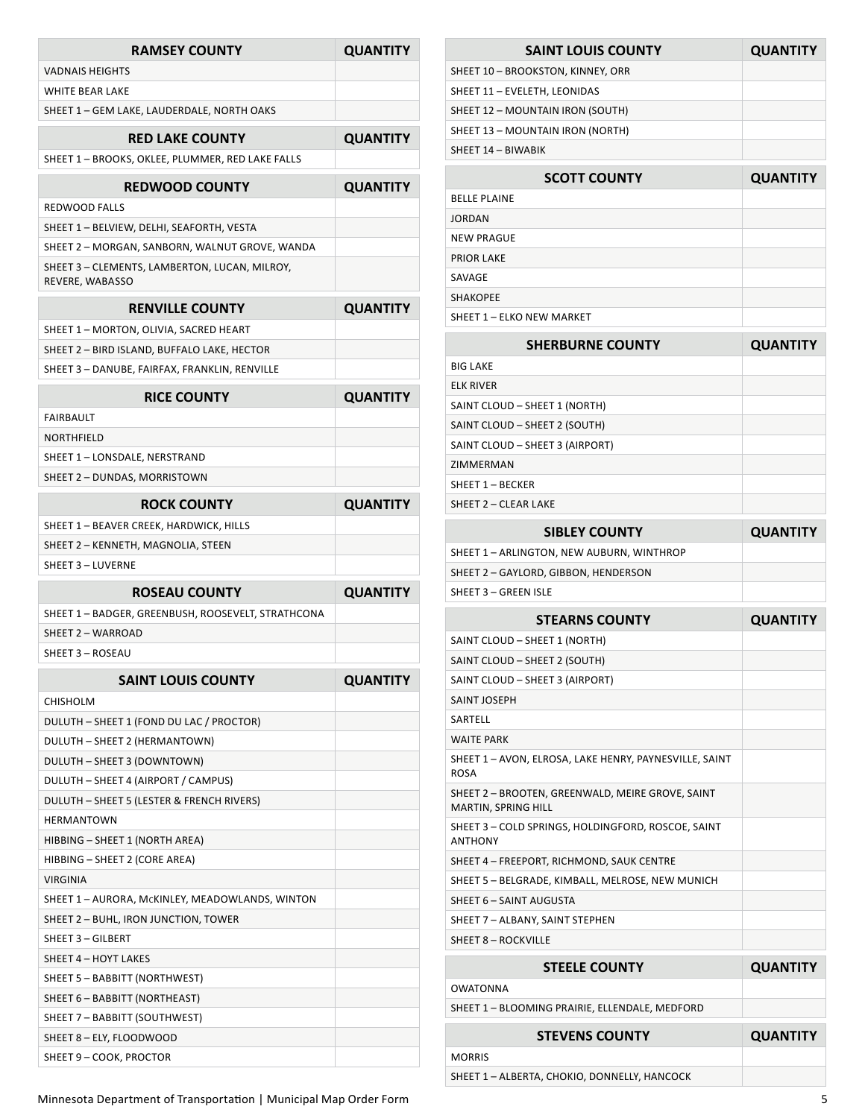| <b>RAMSEY COUNTY</b>                                             | <b>QUANTITY</b> |
|------------------------------------------------------------------|-----------------|
| <b>VADNAIS HEIGHTS</b>                                           |                 |
| <b>WHITE BEAR LAKE</b>                                           |                 |
| SHEET 1 - GEM LAKE, LAUDERDALE, NORTH OAKS                       |                 |
| <b>RED LAKE COUNTY</b>                                           | <b>QUANTITY</b> |
| SHEET 1 - BROOKS, OKLEE, PLUMMER, RED LAKE FALLS                 |                 |
| <b>REDWOOD COUNTY</b>                                            | <b>QUANTITY</b> |
| <b>REDWOOD FALLS</b>                                             |                 |
| SHEET 1 - BELVIEW, DELHI, SEAFORTH, VESTA                        |                 |
| SHEET 2 – MORGAN, SANBORN, WALNUT GROVE, WANDA                   |                 |
| SHEET 3 - CLEMENTS, LAMBERTON, LUCAN, MILROY,<br>REVERE, WABASSO |                 |
| <b>RENVILLE COUNTY</b>                                           | <b>QUANTITY</b> |
| SHEET 1 - MORTON, OLIVIA, SACRED HEART                           |                 |
| SHEET 2 - BIRD ISLAND, BUFFALO LAKE, HECTOR                      |                 |
| SHEET 3 - DANUBE, FAIRFAX, FRANKLIN, RENVILLE                    |                 |
| <b>RICE COUNTY</b>                                               | <b>QUANTITY</b> |
| <b>FAIRBAULT</b>                                                 |                 |
| NORTHFIELD                                                       |                 |
| SHEET 1 - LONSDALE, NERSTRAND                                    |                 |
| SHEET 2 - DUNDAS, MORRISTOWN                                     |                 |
|                                                                  |                 |
| <b>ROCK COUNTY</b>                                               | <b>QUANTITY</b> |
| SHEET 1 - BEAVER CREEK, HARDWICK, HILLS                          |                 |
| SHEET 2 - KENNETH, MAGNOLIA, STEEN                               |                 |
|                                                                  |                 |
| <b>SHEET 3 - LUVERNE</b>                                         |                 |
| <b>ROSEAU COUNTY</b>                                             | <b>QUANTITY</b> |
| SHEET 1 - BADGER, GREENBUSH, ROOSEVELT, STRATHCONA               |                 |
| SHEET 2 - WARROAD                                                |                 |
| SHEET 3 - ROSEAU                                                 |                 |
| <b>SAINT LOUIS COUNTY</b>                                        | <b>QUANTITY</b> |
| CHISHOLM                                                         |                 |
| DULUTH - SHEET 1 (FOND DU LAC / PROCTOR)                         |                 |
| DULUTH - SHEET 2 (HERMANTOWN)                                    |                 |
| DULUTH - SHEET 3 (DOWNTOWN)                                      |                 |
| DULUTH - SHEET 4 (AIRPORT / CAMPUS)                              |                 |
| DULUTH - SHEET 5 (LESTER & FRENCH RIVERS)                        |                 |
| <b>HFRMANTOWN</b>                                                |                 |
| HIBBING - SHEET 1 (NORTH AREA)                                   |                 |
| HIBBING - SHEET 2 (CORE AREA)<br><b>VIRGINIA</b>                 |                 |
| SHEET 1 - AURORA, McKINLEY, MEADOWLANDS, WINTON                  |                 |
| SHEET 2 - BUHL, IRON JUNCTION, TOWER                             |                 |
| <b>SHEET 3 - GILBERT</b>                                         |                 |
| SHEET 4 - HOYT LAKES                                             |                 |
| SHEET 5 - BABBITT (NORTHWEST)                                    |                 |
| SHEET 6 - BABBITT (NORTHEAST)                                    |                 |
| SHEET 7 - BABBITT (SOUTHWEST)                                    |                 |
| SHEET 8 - ELY, FLOODWOOD                                         |                 |

| SHEET 11 - EVELETH, LEONIDAS                                            |                 |
|-------------------------------------------------------------------------|-----------------|
| SHEET 12 - MOUNTAIN IRON (SOUTH)                                        |                 |
| SHEET 13 - MOUNTAIN IRON (NORTH)                                        |                 |
| SHEET 14 - BIWABIK                                                      |                 |
| <b>SCOTT COUNTY</b>                                                     | <b>QUANTITY</b> |
| <b>BELLE PLAINE</b>                                                     |                 |
| <b>JORDAN</b>                                                           |                 |
| <b>NEW PRAGUE</b>                                                       |                 |
| <b>PRIOR LAKE</b>                                                       |                 |
| SAVAGE                                                                  |                 |
| <b>SHAKOPEE</b>                                                         |                 |
| SHEET 1 - ELKO NEW MARKET                                               |                 |
|                                                                         |                 |
| <b>SHERBURNE COUNTY</b>                                                 | <b>QUANTITY</b> |
| <b>BIG LAKE</b>                                                         |                 |
| <b>ELK RIVER</b>                                                        |                 |
| SAINT CLOUD - SHEET 1 (NORTH)                                           |                 |
| SAINT CLOUD - SHEET 2 (SOUTH)                                           |                 |
| SAINT CLOUD - SHEET 3 (AIRPORT)                                         |                 |
| ZIMMERMAN                                                               |                 |
| SHEET 1 - BECKER                                                        |                 |
| SHEET 2 - CLEAR LAKE                                                    |                 |
| <b>SIBLEY COUNTY</b>                                                    | <b>QUANTITY</b> |
| SHEET 1 - ARLINGTON, NEW AUBURN, WINTHROP                               |                 |
| SHEET 2 - GAYLORD, GIBBON, HENDERSON                                    |                 |
| <b>SHEET 3 - GREEN ISLE</b>                                             |                 |
| <b>STEARNS COUNTY</b>                                                   | <b>QUANTITY</b> |
| SAINT CLOUD - SHEET 1 (NORTH)                                           |                 |
| SAINT CLOUD - SHEET 2 (SOUTH)                                           |                 |
| SAINT CLOUD - SHEET 3 (AIRPORT)                                         |                 |
| <b>SAINT JOSEPH</b>                                                     |                 |
| SARTELL                                                                 |                 |
| <b>WAITE PARK</b>                                                       |                 |
| SHEET 1 - AVON, ELROSA, LAKE HENRY, PAYNESVILLE, SAINT<br><b>ROSA</b>   |                 |
| SHEET 2 - BROOTEN, GREENWALD, MEIRE GROVE, SAINT<br>MARTIN, SPRING HILL |                 |
| SHEET 3 - COLD SPRINGS, HOLDINGFORD, ROSCOE, SAINT<br><b>ANTHONY</b>    |                 |
| SHEET 4 - FREEPORT, RICHMOND, SAUK CENTRE                               |                 |
| SHEET 5 - BELGRADE, KIMBALL, MELROSE, NEW MUNICH                        |                 |
| SHEET 6 - SAINT AUGUSTA                                                 |                 |
| SHEET 7 - ALBANY, SAINT STEPHEN                                         |                 |
| <b>SHEET 8 - ROCKVILLE</b>                                              |                 |
| <b>STEELE COUNTY</b>                                                    | <b>QUANTITY</b> |
| OWATONNA                                                                |                 |
| SHEET 1 - BLOOMING PRAIRIE, ELLENDALE, MEDFORD                          |                 |
|                                                                         |                 |

**SAINT LOUIS COUNTY QUANTITY**

SHEET 10 – BROOKSTON, KINNEY, ORR

| <b>STEVENS COUNTY</b>                        | <b>QUANTITY</b> |
|----------------------------------------------|-----------------|
| <b>MORRIS</b>                                |                 |
| SHEET 1 - ALBERTA, CHOKIO, DONNELLY, HANCOCK |                 |